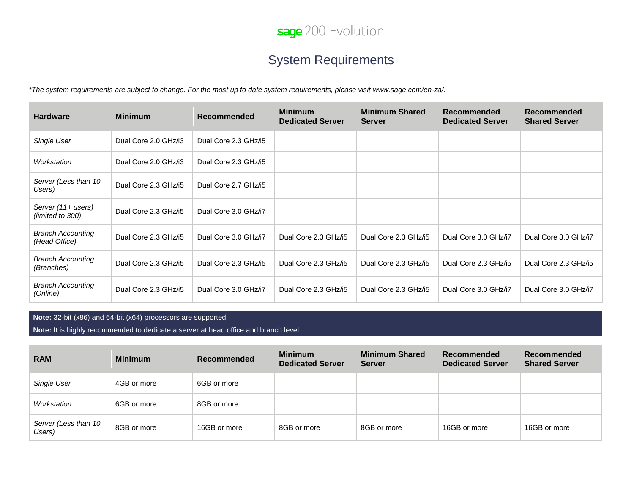

## System Requirements

*\*The system requirements are subject to change. For the most up to date system requirements, please visit [www.sage.com/en-za/.](http://www.sage.com/en-za/)* 

| <b>Hardware</b>                           | <b>Minimum</b>       | Recommended          | <b>Minimum</b><br><b>Dedicated Server</b> | <b>Minimum Shared</b><br><b>Server</b> | Recommended<br><b>Dedicated Server</b> | Recommended<br><b>Shared Server</b> |
|-------------------------------------------|----------------------|----------------------|-------------------------------------------|----------------------------------------|----------------------------------------|-------------------------------------|
| Single User                               | Dual Core 2.0 GHz/i3 | Dual Core 2.3 GHz/i5 |                                           |                                        |                                        |                                     |
| Workstation                               | Dual Core 2.0 GHz/i3 | Dual Core 2.3 GHz/i5 |                                           |                                        |                                        |                                     |
| Server (Less than 10<br>Users)            | Dual Core 2.3 GHz/i5 | Dual Core 2.7 GHz/i5 |                                           |                                        |                                        |                                     |
| Server (11+ users)<br>(limited to 300)    | Dual Core 2.3 GHz/i5 | Dual Core 3.0 GHz/i7 |                                           |                                        |                                        |                                     |
| <b>Branch Accounting</b><br>(Head Office) | Dual Core 2.3 GHz/i5 | Dual Core 3.0 GHz/i7 | Dual Core 2.3 GHz/i5                      | Dual Core 2.3 GHz/i5                   | Dual Core 3.0 GHz/i7                   | Dual Core 3.0 GHz/i7                |
| <b>Branch Accounting</b><br>(Branches)    | Dual Core 2.3 GHz/i5 | Dual Core 2.3 GHz/i5 | Dual Core 2.3 GHz/i5                      | Dual Core 2.3 GHz/i5                   | Dual Core 2.3 GHz/i5                   | Dual Core 2.3 GHz/i5                |
| <b>Branch Accounting</b><br>(Online)      | Dual Core 2.3 GHz/i5 | Dual Core 3.0 GHz/i7 | Dual Core 2.3 GHz/i5                      | Dual Core 2.3 GHz/i5                   | Dual Core 3.0 GHz/i7                   | Dual Core 3.0 GHz/i7                |

**Note:** 32-bit (x86) and 64-bit (x64) processors are supported.

**Note:** It is highly recommended to dedicate a server at head office and branch level.

| <b>RAM</b>                     | <b>Minimum</b> | Recommended  | <b>Minimum</b><br><b>Dedicated Server</b> | <b>Minimum Shared</b><br><b>Server</b> | Recommended<br><b>Dedicated Server</b> | <b>Recommended</b><br><b>Shared Server</b> |
|--------------------------------|----------------|--------------|-------------------------------------------|----------------------------------------|----------------------------------------|--------------------------------------------|
| Single User                    | 4GB or more    | 6GB or more  |                                           |                                        |                                        |                                            |
| Workstation                    | 6GB or more    | 8GB or more  |                                           |                                        |                                        |                                            |
| Server (Less than 10<br>Users) | 8GB or more    | 16GB or more | 8GB or more                               | 8GB or more                            | 16GB or more                           | 16GB or more                               |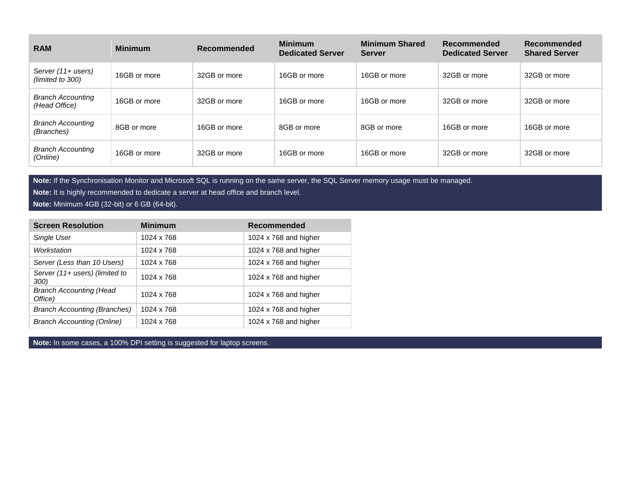| <b>RAM</b>                                | <b>Minimum</b> | Recommended  | <b>Minimum</b><br><b>Dedicated Server</b> | <b>Minimum Shared</b><br><b>Server</b> | Recommended<br><b>Dedicated Server</b> | Recommended<br><b>Shared Server</b> |
|-------------------------------------------|----------------|--------------|-------------------------------------------|----------------------------------------|----------------------------------------|-------------------------------------|
| Server (11+ users)<br>(limited to 300)    | 16GB or more   | 32GB or more | 16GB or more                              | 16GB or more                           | 32GB or more                           | 32GB or more                        |
| <b>Branch Accounting</b><br>(Head Office) | 16GB or more   | 32GB or more | 16GB or more                              | 16GB or more                           | 32GB or more                           | 32GB or more                        |
| <b>Branch Accounting</b><br>(Branches)    | 8GB or more    | 16GB or more | 8GB or more                               | 8GB or more                            | 16GB or more                           | 16GB or more                        |
| <b>Branch Accounting</b><br>(Online)      | 16GB or more   | 32GB or more | 16GB or more                              | 16GB or more                           | 32GB or more                           | 32GB or more                        |

**Note:** If the Synchronisation Monitor and Microsoft SQL is running on the same server, the SQL Server memory usage must be managed.

**Note:** It is highly recommended to dedicate a server at head office and branch level.

**Note:** Minimum 4GB (32-bit) or 6 GB (64-bit).

| <b>Screen Resolution</b>                  | <b>Minimum</b> | <b>Recommended</b>      |
|-------------------------------------------|----------------|-------------------------|
| Single User                               | 1024 x 768     | 1024 x 768 and higher   |
| Workstation                               | 1024 x 768     | 1024 x $768$ and higher |
| Server (Less than 10 Users)               | 1024 x 768     | 1024 x $768$ and higher |
| Server (11+ users) (limited to<br>300)    | 1024 x 768     | 1024 x 768 and higher   |
| <b>Branch Accounting (Head</b><br>Office) | 1024 x 768     | 1024 x 768 and higher   |
| <b>Branch Accounting (Branches)</b>       | 1024 x 768     | 1024 x $768$ and higher |
| <b>Branch Accounting (Online)</b>         | 1024 x 768     | 1024 x 768 and higher   |

**Note:** In some cases, a 100% DPI setting is suggested for laptop screens.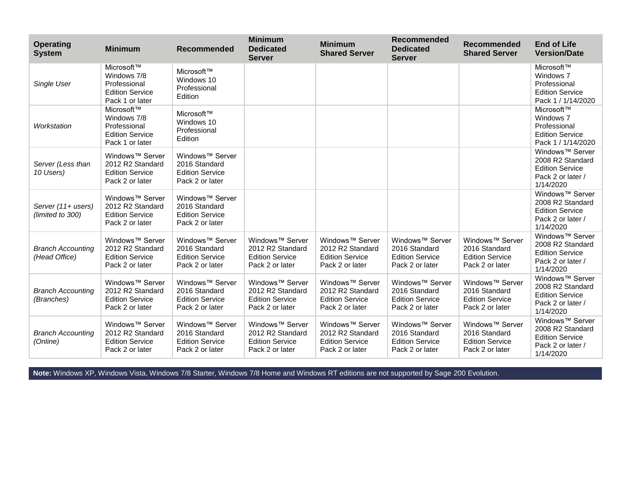| <b>Operating</b><br><b>System</b>         | <b>Minimum</b>                                                                               | Recommended                                                                               | <b>Minimum</b><br><b>Dedicated</b><br><b>Server</b>                                          | <b>Minimum</b><br><b>Shared Server</b>                                                       | Recommended<br><b>Dedicated</b><br><b>Server</b>                                          | <b>Recommended</b><br><b>Shared Server</b>                                                | <b>End of Life</b><br><b>Version/Date</b>                                                                   |
|-------------------------------------------|----------------------------------------------------------------------------------------------|-------------------------------------------------------------------------------------------|----------------------------------------------------------------------------------------------|----------------------------------------------------------------------------------------------|-------------------------------------------------------------------------------------------|-------------------------------------------------------------------------------------------|-------------------------------------------------------------------------------------------------------------|
| Single User                               | Microsoft™<br>Windows 7/8<br>Professional<br><b>Edition Service</b><br>Pack 1 or later       | Microsoft™<br>Windows 10<br>Professional<br>Edition                                       |                                                                                              |                                                                                              |                                                                                           |                                                                                           | Microsoft™<br>Windows 7<br>Professional<br><b>Edition Service</b><br>Pack 1 / 1/14/2020                     |
| Workstation                               | Microsoft™<br>Windows 7/8<br>Professional<br><b>Edition Service</b><br>Pack 1 or later       | Microsoft™<br>Windows 10<br>Professional<br>Edition                                       |                                                                                              |                                                                                              |                                                                                           |                                                                                           | Microsoft™<br>Windows 7<br>Professional<br><b>Edition Service</b><br>Pack 1 / 1/14/2020                     |
| Server (Less than<br>10 Users)            | Windows <sup>™</sup> Server<br>2012 R2 Standard<br><b>Edition Service</b><br>Pack 2 or later | Windows <sup>™</sup> Server<br>2016 Standard<br><b>Edition Service</b><br>Pack 2 or later |                                                                                              |                                                                                              |                                                                                           |                                                                                           | Windows <sup>™</sup> Server<br>2008 R2 Standard<br><b>Edition Service</b><br>Pack 2 or later /<br>1/14/2020 |
| Server (11+ users)<br>(limited to 300)    | Windows <sup>™</sup> Server<br>2012 R2 Standard<br><b>Edition Service</b><br>Pack 2 or later | Windows <sup>™</sup> Server<br>2016 Standard<br><b>Edition Service</b><br>Pack 2 or later |                                                                                              |                                                                                              |                                                                                           |                                                                                           | Windows <sup>™</sup> Server<br>2008 R2 Standard<br><b>Edition Service</b><br>Pack 2 or later /<br>1/14/2020 |
| <b>Branch Accounting</b><br>(Head Office) | Windows <sup>™</sup> Server<br>2012 R2 Standard<br><b>Edition Service</b><br>Pack 2 or later | Windows <sup>™</sup> Server<br>2016 Standard<br><b>Edition Service</b><br>Pack 2 or later | Windows <sup>™</sup> Server<br>2012 R2 Standard<br><b>Edition Service</b><br>Pack 2 or later | Windows <sup>™</sup> Server<br>2012 R2 Standard<br><b>Edition Service</b><br>Pack 2 or later | Windows <sup>™</sup> Server<br>2016 Standard<br><b>Edition Service</b><br>Pack 2 or later | Windows <sup>™</sup> Server<br>2016 Standard<br><b>Edition Service</b><br>Pack 2 or later | Windows <sup>™</sup> Server<br>2008 R2 Standard<br><b>Edition Service</b><br>Pack 2 or later /<br>1/14/2020 |
| <b>Branch Accounting</b><br>(Branches)    | Windows <sup>™</sup> Server<br>2012 R2 Standard<br><b>Edition Service</b><br>Pack 2 or later | Windows <sup>™</sup> Server<br>2016 Standard<br><b>Edition Service</b><br>Pack 2 or later | Windows <sup>™</sup> Server<br>2012 R2 Standard<br><b>Edition Service</b><br>Pack 2 or later | Windows <sup>™</sup> Server<br>2012 R2 Standard<br><b>Edition Service</b><br>Pack 2 or later | Windows <sup>™</sup> Server<br>2016 Standard<br><b>Edition Service</b><br>Pack 2 or later | Windows <sup>™</sup> Server<br>2016 Standard<br><b>Edition Service</b><br>Pack 2 or later | Windows <sup>™</sup> Server<br>2008 R2 Standard<br><b>Edition Service</b><br>Pack 2 or later /<br>1/14/2020 |
| <b>Branch Accounting</b><br>(Online)      | Windows <sup>™</sup> Server<br>2012 R2 Standard<br><b>Edition Service</b><br>Pack 2 or later | Windows <sup>™</sup> Server<br>2016 Standard<br><b>Edition Service</b><br>Pack 2 or later | Windows <sup>™</sup> Server<br>2012 R2 Standard<br><b>Edition Service</b><br>Pack 2 or later | Windows <sup>™</sup> Server<br>2012 R2 Standard<br><b>Edition Service</b><br>Pack 2 or later | Windows <sup>™</sup> Server<br>2016 Standard<br><b>Edition Service</b><br>Pack 2 or later | Windows <sup>™</sup> Server<br>2016 Standard<br><b>Edition Service</b><br>Pack 2 or later | Windows <sup>™</sup> Server<br>2008 R2 Standard<br><b>Edition Service</b><br>Pack 2 or later /<br>1/14/2020 |

**Note:** Windows XP, Windows Vista, Windows 7/8 Starter, Windows 7/8 Home and Windows RT editions are not supported by Sage 200 Evolution.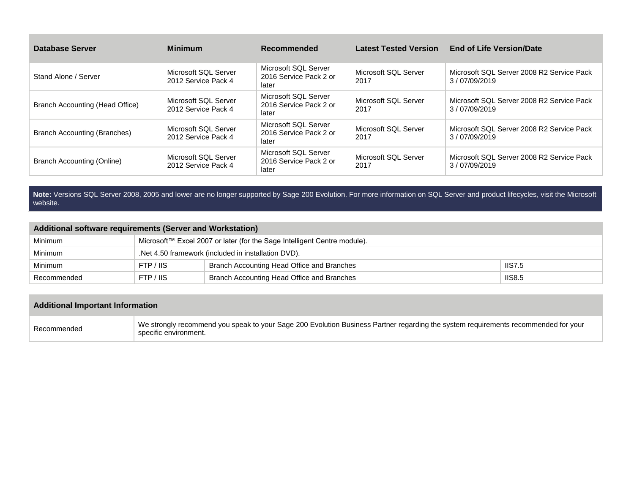| <b>Database Server</b>              | <b>Minimum</b>                              | Recommended                                             | <b>Latest Tested Version</b> | <b>End of Life Version/Date</b>                           |
|-------------------------------------|---------------------------------------------|---------------------------------------------------------|------------------------------|-----------------------------------------------------------|
| Stand Alone / Server                | Microsoft SQL Server<br>2012 Service Pack 4 | Microsoft SQL Server<br>2016 Service Pack 2 or<br>later | Microsoft SQL Server<br>2017 | Microsoft SQL Server 2008 R2 Service Pack<br>3/07/09/2019 |
| Branch Accounting (Head Office)     | Microsoft SQL Server<br>2012 Service Pack 4 | Microsoft SQL Server<br>2016 Service Pack 2 or<br>later | Microsoft SQL Server<br>2017 | Microsoft SQL Server 2008 R2 Service Pack<br>3/07/09/2019 |
| <b>Branch Accounting (Branches)</b> | Microsoft SQL Server<br>2012 Service Pack 4 | Microsoft SQL Server<br>2016 Service Pack 2 or<br>later | Microsoft SQL Server<br>2017 | Microsoft SQL Server 2008 R2 Service Pack<br>3/07/09/2019 |
| <b>Branch Accounting (Online)</b>   | Microsoft SQL Server<br>2012 Service Pack 4 | Microsoft SQL Server<br>2016 Service Pack 2 or<br>later | Microsoft SQL Server<br>2017 | Microsoft SQL Server 2008 R2 Service Pack<br>3/07/09/2019 |

**Note:** Versions SQL Server 2008, 2005 and lower are no longer supported by Sage 200 Evolution. For more information on SQL Server and product lifecycles, visit the Microsoft website.

## **Additional software requirements (Server and Workstation)**

| Minimum     | Microsoft™ Excel 2007 or later (for the Sage Intelligent Centre module). |                                                             |  |  |  |
|-------------|--------------------------------------------------------------------------|-------------------------------------------------------------|--|--|--|
| Minimum     |                                                                          | .Net 4.50 framework (included in installation DVD).         |  |  |  |
| Minimum     | FTP / IIS                                                                | <b>IIS7.5</b><br>Branch Accounting Head Office and Branches |  |  |  |
| Recommended | FTP / IIS                                                                | <b>IIS8.5</b><br>Branch Accounting Head Office and Branches |  |  |  |

## **Additional Important Information**

| Recommended | We strongly recommend you speak to your Sage 200 Evolution Business Partner regarding the system requirements recommended for your<br>specific environment. |
|-------------|-------------------------------------------------------------------------------------------------------------------------------------------------------------|
|-------------|-------------------------------------------------------------------------------------------------------------------------------------------------------------|